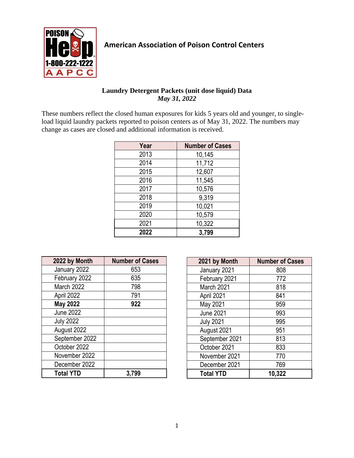

## **American Association of Poison Control Centers**

## **Laundry Detergent Packets (unit dose liquid) Data** *May 31, 2022*

These numbers reflect the closed human exposures for kids 5 years old and younger, to singleload liquid laundry packets reported to poison centers as of May 31, 2022. The numbers may change as cases are closed and additional information is received.

| Year | <b>Number of Cases</b> |
|------|------------------------|
| 2013 | 10,145                 |
| 2014 | 11,712                 |
| 2015 | 12,607                 |
| 2016 | 11,545                 |
| 2017 | 10,576                 |
| 2018 | 9,319                  |
| 2019 | 10,021                 |
| 2020 | 10,579                 |
| 2021 | 10,322                 |
| 2022 | 3,799                  |

| 2022 by Month    | <b>Number of Cases</b> |
|------------------|------------------------|
| January 2022     | 653                    |
| February 2022    | 635                    |
| March 2022       | 798                    |
| April 2022       | 791                    |
| <b>May 2022</b>  | 922                    |
| <b>June 2022</b> |                        |
| <b>July 2022</b> |                        |
| August 2022      |                        |
| September 2022   |                        |
| October 2022     |                        |
| November 2022    |                        |
| December 2022    |                        |
| <b>Total YTD</b> | 3,799                  |

| 2021 by Month    | <b>Number of Cases</b> |
|------------------|------------------------|
| January 2021     | 808                    |
| February 2021    | 772                    |
| March 2021       | 818                    |
| April 2021       | 841                    |
| May 2021         | 959                    |
| <b>June 2021</b> | 993                    |
| <b>July 2021</b> | 995                    |
| August 2021      | 951                    |
| September 2021   | 813                    |
| October 2021     | 833                    |
| November 2021    | 770                    |
| December 2021    | 769                    |
| <b>Total YTD</b> | 10,322                 |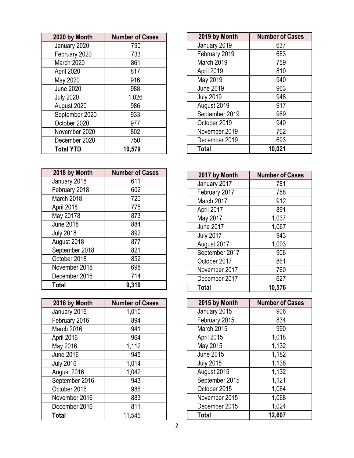| 2020 by Month    | <b>Number of Cases</b> |
|------------------|------------------------|
| January 2020     | 790                    |
| February 2020    | 733                    |
| March 2020       | 861                    |
| April 2020       | 817                    |
| May 2020         | 916                    |
| <b>June 2020</b> | 988                    |
| <b>July 2020</b> | 1,026                  |
| August 2020      | 986                    |
| September 2020   | 933                    |
| October 2020     | 977                    |
| November 2020    | 802                    |
| December 2020    | 750                    |
| <b>Total YTD</b> | 10,579                 |

| 2018 by Month    | <b>Number of Cases</b> |
|------------------|------------------------|
| January 2018     | 611                    |
| February 2018    | 602                    |
| March 2018       | 720                    |
| April 2018       | 775                    |
| May 20178        | 873                    |
| <b>June 2018</b> | 884                    |
| <b>July 2018</b> | 892                    |
| August 2018      | 877                    |
| September 2018   | 821                    |
| October 2018     | 852                    |
| November 2018    | 698                    |
| December 2018    | 714                    |
| Total            | 9,319                  |

| 2016 by Month    | <b>Number of Cases</b> |
|------------------|------------------------|
| January 2016     | 1,010                  |
| February 2016    | 894                    |
| March 2016       | 941                    |
| April 2016       | 964                    |
| May 2016         | 1,112                  |
| <b>June 2016</b> | 945                    |
| <b>July 2016</b> | 1,014                  |
| August 2016      | 1,042                  |
| September 2016   | 943                    |
| October 2016     | 986                    |
| November 2016    | 883                    |
| December 2016    | 811                    |
| <b>Total</b>     | 11,545                 |

| 2019 by Month    | <b>Number of Cases</b> |
|------------------|------------------------|
| January 2019     | 637                    |
| February 2019    | 683                    |
| March 2019       | 759                    |
| April 2019       | 810                    |
| May 2019         | 940                    |
| <b>June 2019</b> | 963                    |
| <b>July 2019</b> | 948                    |
| August 2019      | 917                    |
| September 2019   | 969                    |
| October 2019     | 940                    |
| November 2019    | 762                    |
| December 2019    | 693                    |
| <b>Total</b>     | 10,021                 |

| 2017 by Month    | <b>Number of Cases</b> |
|------------------|------------------------|
| January 2017     | 781                    |
| February 2017    | 788                    |
| March 2017       | 912                    |
| April 2017       | 891                    |
| May 2017         | 1,037                  |
| <b>June 2017</b> | 1,067                  |
| <b>July 2017</b> | 943                    |
| August 2017      | 1,003                  |
| September 2017   | 906                    |
| October 2017     | 861                    |
| November 2017    | 760                    |
| December 2017    | 627                    |
| <b>Total</b>     | 10,576                 |

| 2015 by Month    | <b>Number of Cases</b> |
|------------------|------------------------|
| January 2015     | 906                    |
| February 2015    | 834                    |
| March 2015       | 990                    |
| April 2015       | 1,018                  |
| May 2015         | 1,132                  |
| <b>June 2015</b> | 1,182                  |
| <b>July 2015</b> | 1,136                  |
| August 2015      | 1,132                  |
| September 2015   | 1,121                  |
| October 2015     | 1,064                  |
| November 2015    | 1,068                  |
| December 2015    | 1,024                  |
| <b>Total</b>     | 12,607                 |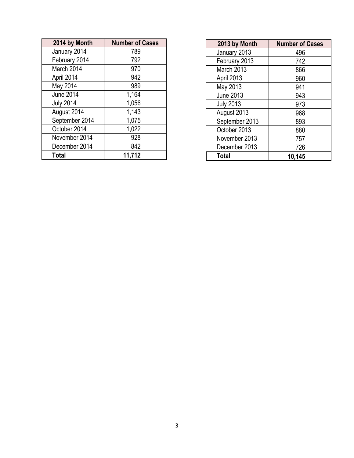| 2014 by Month    | <b>Number of Cases</b> |
|------------------|------------------------|
| January 2014     | 789                    |
| February 2014    | 792                    |
| March 2014       | 970                    |
| April 2014       | 942                    |
| May 2014         | 989                    |
| <b>June 2014</b> | 1,164                  |
| <b>July 2014</b> | 1,056                  |
| August 2014      | 1,143                  |
| September 2014   | 1,075                  |
| October 2014     | 1,022                  |
| November 2014    | 928                    |
| December 2014    | 842                    |
| <b>Total</b>     | 11,712                 |

| 2013 by Month    | <b>Number of Cases</b> |
|------------------|------------------------|
| January 2013     | 496                    |
| February 2013    | 742                    |
| March 2013       | 866                    |
| April 2013       | 960                    |
| May 2013         | 941                    |
| <b>June 2013</b> | 943                    |
| <b>July 2013</b> | 973                    |
| August 2013      | 968                    |
| September 2013   | 893                    |
| October 2013     | 880                    |
| November 2013    | 757                    |
| December 2013    | 726                    |
| <b>Total</b>     | 10,145                 |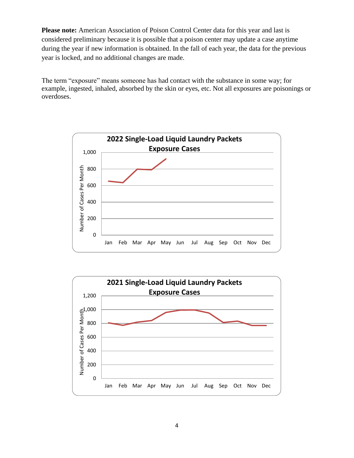**Please note:** American Association of Poison Control Center data for this year and last is considered preliminary because it is possible that a poison center may update a case anytime during the year if new information is obtained. In the fall of each year, the data for the previous year is locked, and no additional changes are made.

The term "exposure" means someone has had contact with the substance in some way; for example, ingested, inhaled, absorbed by the skin or eyes, etc. Not all exposures are poisonings or overdoses.



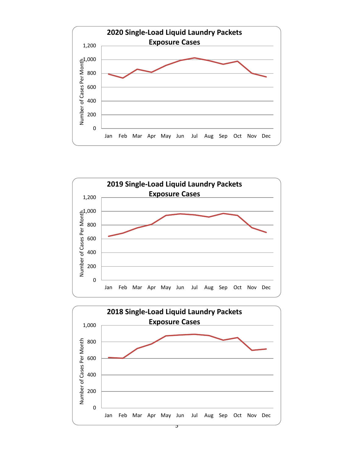



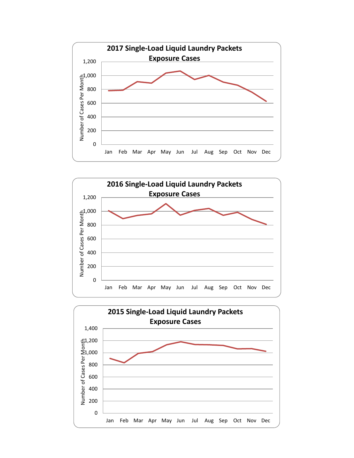